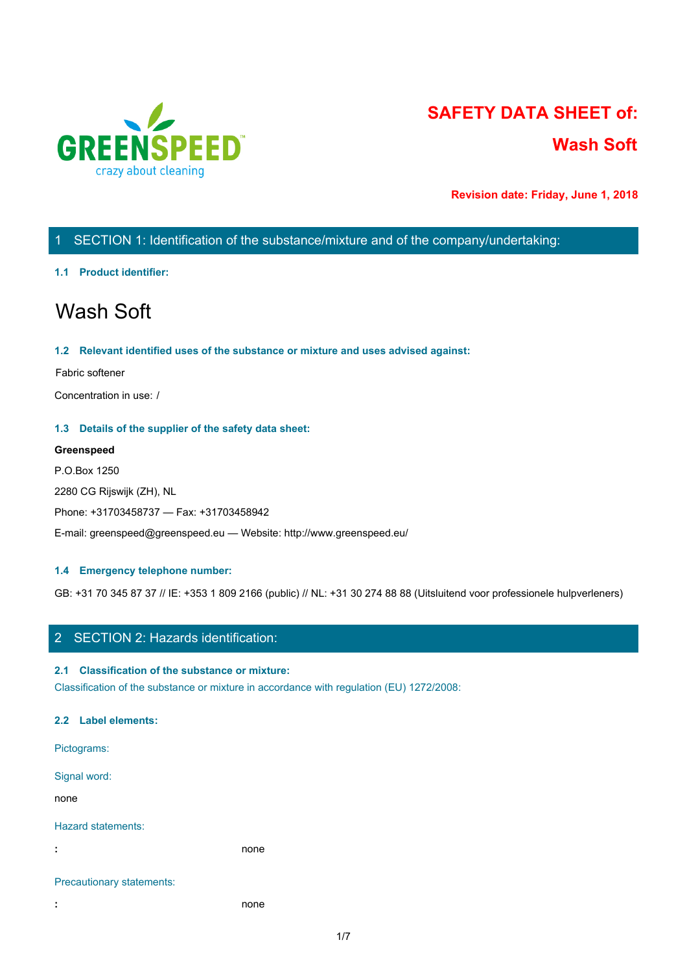

# **SAFETY DATA SHEET of: Wash Soft**

**Revision date: Friday, June 1, 2018**

## 1 SECTION 1: Identification of the substance/mixture and of the company/undertaking:

## **1.1 Product identifier:**

# Wash Soft

## **1.2 Relevant identified uses of the substance or mixture and uses advised against:**

## Fabric softener

Concentration in use: /

## **1.3 Details of the supplier of the safety data sheet:**

## **Greenspeed**

P.O.Box 1250 2280 CG Rijswijk (ZH), NL Phone: +31703458737 — Fax: +31703458942 E-mail: greenspeed@greenspeed.eu — Website: http://www.greenspeed.eu/

## **1.4 Emergency telephone number:**

GB: +31 70 345 87 37 // IE: +353 1 809 2166 (public) // NL: +31 30 274 88 88 (Uitsluitend voor professionele hulpverleners)

## 2 SECTION 2: Hazards identification:

## **2.1 Classification of the substance or mixture:**

Classification of the substance or mixture in accordance with regulation (EU) 1272/2008:

## **2.2 Label elements:**

Pictograms: Signal word: none and the state of the state of the state of the state of the state of the state of the state of the state of the state of the state of the state of the state of the state of the state of the state of the state of the s Hazard statements: **:** none Precautionary statements:

**:** none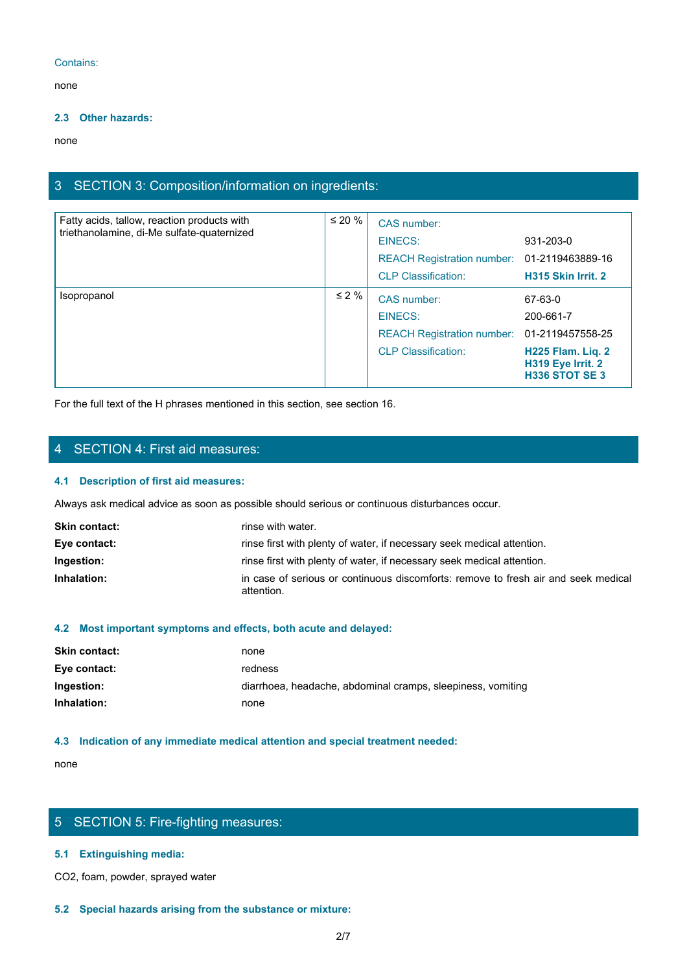## Contains:

none and the state of the state of the state of the state of the state of the state of the state of the state of the state of the state of the state of the state of the state of the state of the state of the state of the s

## **2.3 Other hazards:**

none and the state of the state of the state of the state of the state of the state of the state of the state of the state of the state of the state of the state of the state of the state of the state of the state of the s

## 3 SECTION 3: Composition/information on ingredients:

| Fatty acids, tallow, reaction products with<br>triethanolamine, di-Me sulfate-quaternized | $\leq 20 \%$ | CAS number:<br>EINECS:<br>REACH Registration number: 01-2119463889-16<br><b>CLP Classification:</b> | 931-203-0<br>H315 Skin Irrit. 2                                                                       |
|-------------------------------------------------------------------------------------------|--------------|-----------------------------------------------------------------------------------------------------|-------------------------------------------------------------------------------------------------------|
| Isopropanol                                                                               | $\leq 2\%$   | CAS number:<br>EINECS:<br>REACH Registration number: 01-2119457558-25<br><b>CLP Classification:</b> | 67-63-0<br>200-661-7<br><b>H225 Flam. Liq. 2</b><br><b>H319 Eye Irrit. 2</b><br><b>H336 STOT SE 3</b> |

For the full text of the H phrases mentioned in this section, see section 16.

## 4 SECTION 4: First aid measures:

## **4.1 Description of first aid measures:**

Always ask medical advice as soon as possible should serious or continuous disturbances occur.

| <b>Skin contact:</b> | rinse with water.                                                                                |
|----------------------|--------------------------------------------------------------------------------------------------|
| Eye contact:         | rinse first with plenty of water, if necessary seek medical attention.                           |
| Ingestion:           | rinse first with plenty of water, if necessary seek medical attention.                           |
| Inhalation:          | in case of serious or continuous discomforts: remove to fresh air and seek medical<br>attention. |

## **4.2 Most important symptoms and effects, both acute and delayed:**

| <b>Skin contact:</b> | none                                                        |
|----------------------|-------------------------------------------------------------|
| Eye contact:         | redness                                                     |
| Ingestion:           | diarrhoea, headache, abdominal cramps, sleepiness, vomiting |
| Inhalation:          | none                                                        |

## **4.3 Indication of any immediate medical attention and special treatment needed:**

none and the state of the state of the state of the state of the state of the state of the state of the state of the state of the state of the state of the state of the state of the state of the state of the state of the s

## 5 SECTION 5: Fire-fighting measures:

## **5.1 Extinguishing media:**

CO2, foam, powder, sprayed water

## **5.2 Special hazards arising from the substance or mixture:**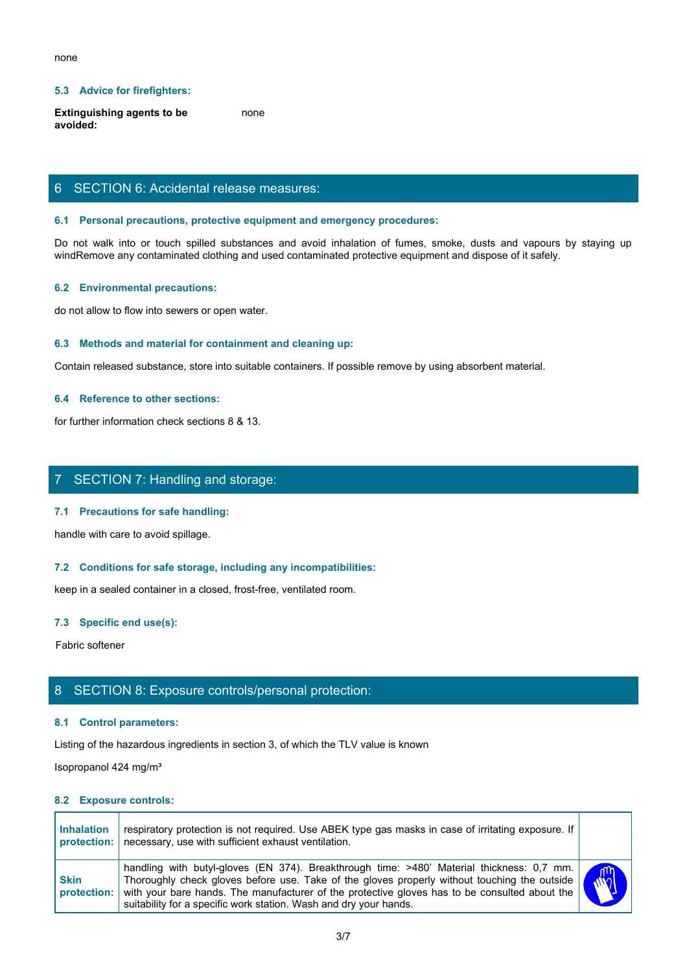## **5.3 Advice for firefighters:**

**Extinguishing agents to be avoided:** none and the state of the state of the state of the state of the state of the state of the state of the state of the state of the state of the state of the state of the state of the state of the state of the state of the s

## 6 SECTION 6: Accidental release measures:

#### **6.1 Personal precautions, protective equipment and emergency procedures:**

none<br>
Extinguishing agents to be<br>
Notice and avoided:<br>
So SECTION 6: Accidental release measures:<br>
So not walk into or touch spilled substances and avoid inhalation of fumes, smoke, dusts and vapours by staying up<br>
windRem windRemove any contaminated clothing and used contaminated protective equipment and dispose of it safely.

#### **6.2 Environmental precautions:**

do not allow to flow into sewers or open water.

#### **6.3 Methods and material for containment and cleaning up:**

Contain released substance, store into suitable containers. If possible remove by using absorbent material.

## **6.4 Reference to other sections:**

for further information check sections 8 & 13.

## 7 SECTION 7: Handling and storage:

#### **7.1 Precautions for safe handling:**

#### **7.2 Conditions for safe storage, including any incompatibilities:**

#### **7.3 Specific end use(s):**

## 8 SECTION 8: Exposure controls/personal protection:

#### **8.1 Control parameters:**

#### **8.2 Exposure controls:**

|                                   | 7.1 Precaduons for sale nandmig.                                                                                                                                                                                                                                                                                                                                |              |
|-----------------------------------|-----------------------------------------------------------------------------------------------------------------------------------------------------------------------------------------------------------------------------------------------------------------------------------------------------------------------------------------------------------------|--------------|
|                                   | handle with care to avoid spillage.                                                                                                                                                                                                                                                                                                                             |              |
|                                   | 7.2 Conditions for safe storage, including any incompatibilities:                                                                                                                                                                                                                                                                                               |              |
|                                   | keep in a sealed container in a closed, frost-free, ventilated room.                                                                                                                                                                                                                                                                                            |              |
| 7.3 Specific end use(s):          |                                                                                                                                                                                                                                                                                                                                                                 |              |
| Fabric softener                   |                                                                                                                                                                                                                                                                                                                                                                 |              |
|                                   | 8 SECTION 8: Exposure controls/personal protection:                                                                                                                                                                                                                                                                                                             |              |
| 8.1 Control parameters:           |                                                                                                                                                                                                                                                                                                                                                                 |              |
|                                   | Listing of the hazardous ingredients in section 3, of which the TLV value is known                                                                                                                                                                                                                                                                              |              |
| Isopropanol 424 mg/m <sup>3</sup> |                                                                                                                                                                                                                                                                                                                                                                 |              |
| 8.2 Exposure controls:            |                                                                                                                                                                                                                                                                                                                                                                 |              |
| <b>Inhalation</b><br>protection:  | respiratory protection is not required. Use ABEK type gas masks in case of irritating exposure. If<br>necessary, use with sufficient exhaust ventilation.                                                                                                                                                                                                       |              |
| <b>Skin</b><br>protection:        | handling with butyl-gloves (EN 374). Breakthrough time: >480' Material thickness: 0,7 mm.<br>Thoroughly check gloves before use. Take of the gloves properly without touching the outside<br>with your bare hands. The manufacturer of the protective gloves has to be consulted about the<br>suitability for a specific work station. Wash and dry your hands. | $\mathbf{w}$ |
|                                   | 3/7                                                                                                                                                                                                                                                                                                                                                             |              |
|                                   |                                                                                                                                                                                                                                                                                                                                                                 |              |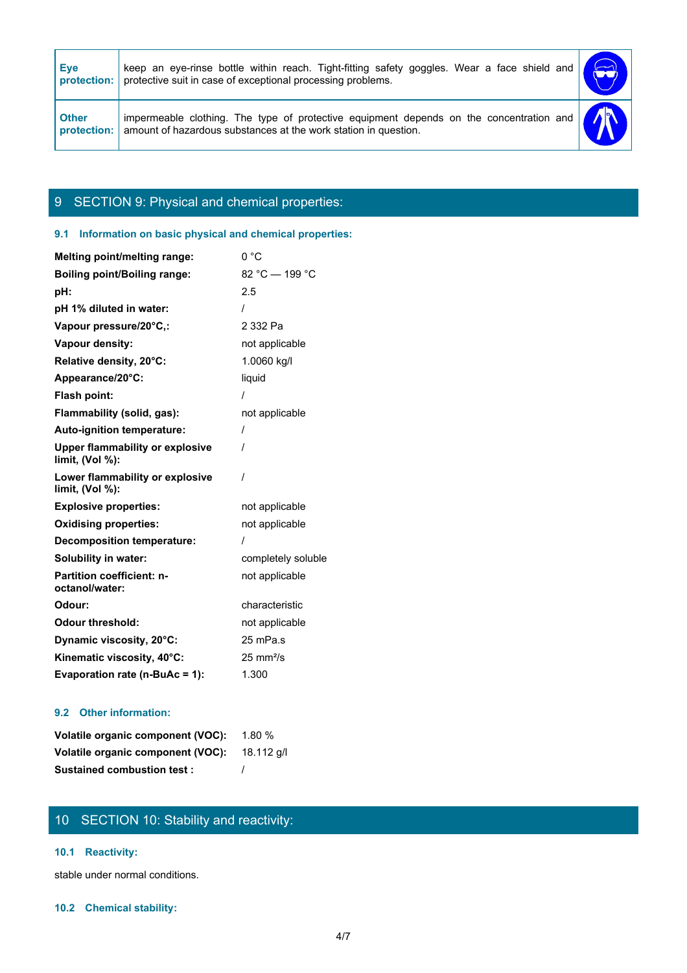| keep an eye-rinse bottle within reach. Tight-fitting safety goggles. Wear a face shield and<br>protective suit in case of exceptional processing problems. |                                                                                         |
|------------------------------------------------------------------------------------------------------------------------------------------------------------|-----------------------------------------------------------------------------------------|
|                                                                                                                                                            |                                                                                         |
|                                                                                                                                                            |                                                                                         |
|                                                                                                                                                            |                                                                                         |
|                                                                                                                                                            |                                                                                         |
|                                                                                                                                                            |                                                                                         |
|                                                                                                                                                            |                                                                                         |
|                                                                                                                                                            |                                                                                         |
|                                                                                                                                                            | <b>DE</b>                                                                               |
| amount of hazardous substances at the work station in question.                                                                                            |                                                                                         |
|                                                                                                                                                            | impermeable clothing. The type of protective equipment depends on the concentration and |

## 9 SECTION 9: Physical and chemical properties:

## **9.1 Information on basic physical and chemical properties:**

| Melting point/melting range:                              | 0 °C                 |
|-----------------------------------------------------------|----------------------|
| <b>Boiling point/Boiling range:</b>                       | 82 °C - 199 °C       |
| pH:                                                       | 2.5                  |
| pH 1% diluted in water:                                   |                      |
| Vapour pressure/20°C,:                                    | 2 332 Pa             |
| Vapour density:                                           | not applicable       |
| Relative density, 20°C:                                   | 1.0060 kg/l          |
| Appearance/20°C:                                          | liquid               |
| Flash point:                                              |                      |
| Flammability (solid, gas):                                | not applicable       |
| Auto-ignition temperature:                                | $\prime$             |
| <b>Upper flammability or explosive</b><br>limit, (Vol %): | 1                    |
| Lower flammability or explosive<br>limit, (Vol %):        | 1                    |
| <b>Explosive properties:</b>                              | not applicable       |
| <b>Oxidising properties:</b>                              | not applicable       |
| <b>Decomposition temperature:</b>                         |                      |
| <b>Solubility in water:</b>                               | completely soluble   |
| <b>Partition coefficient: n-</b><br>octanol/water:        | not applicable       |
| Odour:                                                    | characteristic       |
| <b>Odour threshold:</b>                                   | not applicable       |
| Dynamic viscosity, 20°C:                                  | 25 mPa.s             |
| Kinematic viscosity, 40°C:                                |                      |
|                                                           | $25 \text{ mm}^2$ /s |

## **9.2 Other information:**

| <b>Volatile organic component (VOC):</b> 1.80 % |  |
|-------------------------------------------------|--|
| Volatile organic component (VOC): 18.112 g/l    |  |
| <b>Sustained combustion test:</b>               |  |

## 10 SECTION 10: Stability and reactivity:

## **10.1 Reactivity:**

stable under normal conditions.

## **10.2 Chemical stability:**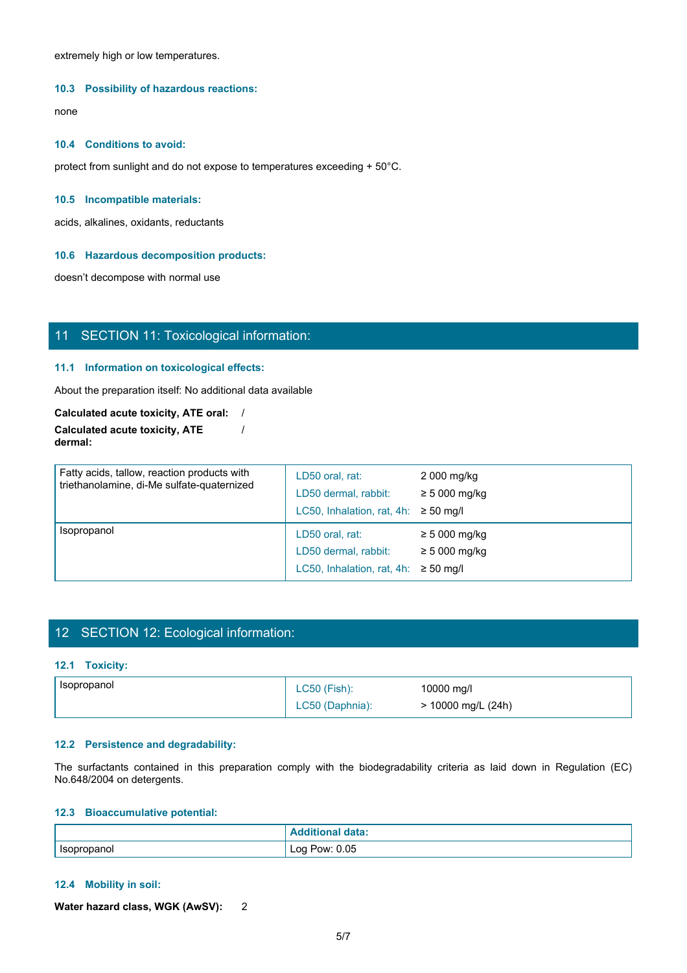extremely high or low temperatures.

#### **10.3 Possibility of hazardous reactions:**

none and the state of the state of the state of the state of the state of the state of the state of the state of the state of the state of the state of the state of the state of the state of the state of the state of the s

#### **10.4 Conditions to avoid:**

protect from sunlight and do not expose to temperatures exceeding + 50°C.

#### **10.5 Incompatible materials:**

acids, alkalines, oxidants, reductants

#### **10.6 Hazardous decomposition products:**

doesn't decompose with normal use

## 11 SECTION 11: Toxicological information:

## **11.1 Information on toxicological effects:**

About the preparation itself: No additional data available

**Calculated acute toxicity, ATE oral:** / **Calculated acute toxicity, ATE dermal:** /

| Calculated acute toxicity, ATE oral: /                                                                                                                |                                                                                      |                                        |  |
|-------------------------------------------------------------------------------------------------------------------------------------------------------|--------------------------------------------------------------------------------------|----------------------------------------|--|
| <b>Calculated acute toxicity, ATE</b><br>dermal:                                                                                                      |                                                                                      |                                        |  |
| Fatty acids, tallow, reaction products with<br>triethanolamine, di-Me sulfate-quaternized                                                             | LD50 oral, rat:<br>LD50 dermal, rabbit:<br>LC50, Inhalation, rat, 4h: $\geq$ 50 mg/l | 2 000 mg/kg<br>$\geq$ 5 000 mg/kg      |  |
| Isopropanol                                                                                                                                           | LD50 oral, rat:<br>LD50 dermal, rabbit:<br>LC50, Inhalation, rat, 4h: $\geq$ 50 mg/l | $\geq 5000$ mg/kg<br>$\geq 5000$ mg/kg |  |
|                                                                                                                                                       |                                                                                      |                                        |  |
| 12 SECTION 12: Ecological information:                                                                                                                |                                                                                      |                                        |  |
| 12.1 Toxicity:                                                                                                                                        |                                                                                      |                                        |  |
| Isopropanol                                                                                                                                           | <b>LC50 (Fish):</b><br>LC50 (Daphnia):                                               | 10000 mg/l<br>> 10000 mg/L (24h)       |  |
| 12.2 Persistence and degradability:                                                                                                                   |                                                                                      |                                        |  |
| The surfactants contained in this preparation comply with the biodegradability criteria as laid down in Regulation (EC)<br>No.648/2004 on detergents. |                                                                                      |                                        |  |
| 12.3 Bioaccumulative potential:                                                                                                                       |                                                                                      |                                        |  |
|                                                                                                                                                       | <b>Additional data:</b>                                                              |                                        |  |
| Isopropanol                                                                                                                                           | Log Pow: 0.05                                                                        |                                        |  |

## 12 SECTION 12: Ecological information:

## **12.1 Toxicity:**

| Isopropanol | $(Fish)$ :<br>LC50 | 10000 mg/l         |
|-------------|--------------------|--------------------|
|             | LC50 (Daphnia):    | > 10000 mg/L (24h) |

#### **12.2 Persistence and degradability:**

#### **12.3 Bioaccumulative potential:**

|                              | data:<br>---       |
|------------------------------|--------------------|
| Isopropanol<br>$\sim$ $\sim$ | Pow: 0.05<br>⊥oa ' |

## **12.4 Mobility in soil:**

**Water hazard class, WGK (AwSV):** 2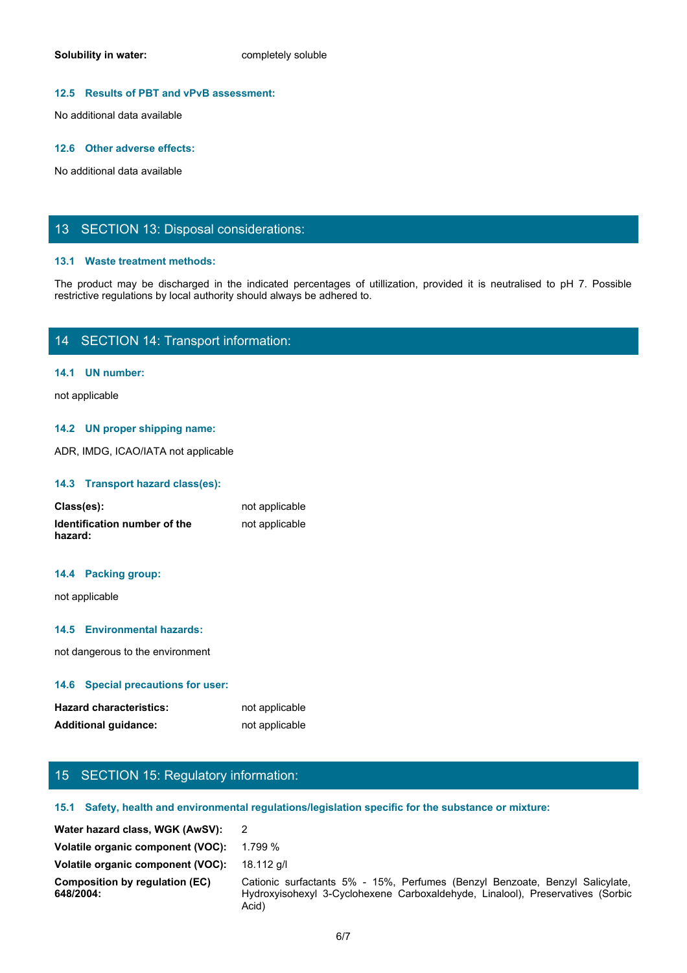## **12.5 Results of PBT and vPvB assessment:**

No additional data available

#### **12.6 Other adverse effects:**

No additional data available

## 13 SECTION 13: Disposal considerations:

## **13.1 Waste treatment methods:**

Solubility in water:<br>
No additional data available<br>
No additional data available<br>
The product may be discharged in the indicated percentages of utilization, provided it is neutralised to pH 7. Possible<br>
The product may be restrictive regulations by local authority should always be adhered to.

## 14 SECTION 14: Transport information:

## **14.1 UN number:**

not applicable

## **14.2 UN proper shipping name:**

ADR, IMDG, ICAO/IATA not applicable

## **14.3 Transport hazard class(es):**

| Class(es):                              | not applicable |
|-----------------------------------------|----------------|
| Identification number of the<br>hazard: | not applicable |

## **14.4 Packing group:**

## **14.5 Environmental hazards:**

#### **14.6 Special precautions for user:**

| <b>Hazard characteristics:</b> | not applicable |
|--------------------------------|----------------|
| <b>Additional guidance:</b>    | not applicable |

## 15 SECTION 15: Regulatory information:

#### **15.1 Safety, health and environmental regulations/legislation specific for the substance or mixture:**

| not applicable<br>not applicable<br>15 SECTION 15: Regulatory information:<br>15.1 Safety, health and environmental regulations/legislation specific for the substance or mixture:<br>$\overline{2}$<br>Volatile organic component (VOC): 1.799 %<br>18.112 g/l<br>Cationic surfactants 5% - 15%, Perfumes (Benzyl Benzoate, Benzyl Salicylate,<br>Hydroxyisohexyl 3-Cyclohexene Carboxaldehyde, Linalool), Preservatives (Sorbic<br>Acid)<br>6/7 | hazard:                                            | <b>TIOL applicable</b> |
|---------------------------------------------------------------------------------------------------------------------------------------------------------------------------------------------------------------------------------------------------------------------------------------------------------------------------------------------------------------------------------------------------------------------------------------------------|----------------------------------------------------|------------------------|
|                                                                                                                                                                                                                                                                                                                                                                                                                                                   | 14.4 Packing group:                                |                        |
|                                                                                                                                                                                                                                                                                                                                                                                                                                                   | not applicable                                     |                        |
|                                                                                                                                                                                                                                                                                                                                                                                                                                                   | 14.5 Environmental hazards:                        |                        |
|                                                                                                                                                                                                                                                                                                                                                                                                                                                   | not dangerous to the environment                   |                        |
|                                                                                                                                                                                                                                                                                                                                                                                                                                                   | 14.6 Special precautions for user:                 |                        |
|                                                                                                                                                                                                                                                                                                                                                                                                                                                   | <b>Hazard characteristics:</b>                     |                        |
|                                                                                                                                                                                                                                                                                                                                                                                                                                                   | <b>Additional guidance:</b>                        |                        |
|                                                                                                                                                                                                                                                                                                                                                                                                                                                   |                                                    |                        |
|                                                                                                                                                                                                                                                                                                                                                                                                                                                   |                                                    |                        |
|                                                                                                                                                                                                                                                                                                                                                                                                                                                   |                                                    |                        |
|                                                                                                                                                                                                                                                                                                                                                                                                                                                   | Water hazard class, WGK (AwSV):                    |                        |
|                                                                                                                                                                                                                                                                                                                                                                                                                                                   |                                                    |                        |
|                                                                                                                                                                                                                                                                                                                                                                                                                                                   | Volatile organic component (VOC):                  |                        |
|                                                                                                                                                                                                                                                                                                                                                                                                                                                   | <b>Composition by regulation (EC)</b><br>648/2004: |                        |
|                                                                                                                                                                                                                                                                                                                                                                                                                                                   |                                                    |                        |
|                                                                                                                                                                                                                                                                                                                                                                                                                                                   |                                                    |                        |